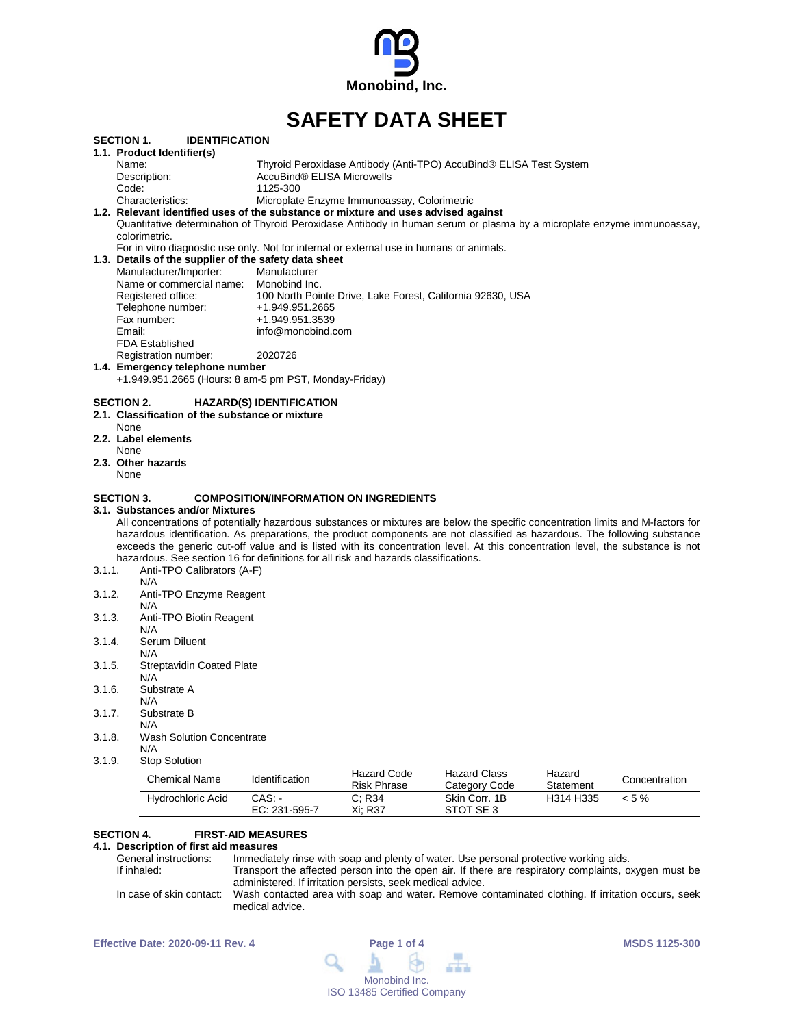

# **SAFETY DATA SHEET**

|                   | Hydrochloric Acid                                                                                                                                                                                                                                              | CAS.<br>EC: 231-595-7                         | C; R34<br>Xi; R37                           | Skin Corr. 1B<br>STOT SE 3                                         | H314 H335           | $< 5 \%$      |
|-------------------|----------------------------------------------------------------------------------------------------------------------------------------------------------------------------------------------------------------------------------------------------------------|-----------------------------------------------|---------------------------------------------|--------------------------------------------------------------------|---------------------|---------------|
|                   | <b>Chemical Name</b>                                                                                                                                                                                                                                           | Identification                                | <b>Hazard Code</b><br><b>Risk Phrase</b>    | <b>Hazard Class</b><br>Category Code                               | Hazard<br>Statement | Concentration |
| 3.1.9.            | <b>Stop Solution</b>                                                                                                                                                                                                                                           |                                               |                                             |                                                                    |                     |               |
| 3.1.8.            | <b>Wash Solution Concentrate</b><br>N/A                                                                                                                                                                                                                        |                                               |                                             |                                                                    |                     |               |
| 3.1.7.            | Substrate B<br>N/A                                                                                                                                                                                                                                             |                                               |                                             |                                                                    |                     |               |
|                   | Substrate A<br>N/A                                                                                                                                                                                                                                             |                                               |                                             |                                                                    |                     |               |
| 3.1.6.            | N/A                                                                                                                                                                                                                                                            |                                               |                                             |                                                                    |                     |               |
| 3.1.5.            | N/A<br><b>Streptavidin Coated Plate</b>                                                                                                                                                                                                                        |                                               |                                             |                                                                    |                     |               |
| 3.1.4.            | Serum Diluent                                                                                                                                                                                                                                                  |                                               |                                             |                                                                    |                     |               |
| 3.1.3.            | Anti-TPO Biotin Reagent<br>N/A                                                                                                                                                                                                                                 |                                               |                                             |                                                                    |                     |               |
|                   | N/A                                                                                                                                                                                                                                                            |                                               |                                             |                                                                    |                     |               |
| 3.1.2.            | N/A<br>Anti-TPO Enzyme Reagent                                                                                                                                                                                                                                 |                                               |                                             |                                                                    |                     |               |
| 3.1.1.            | hazardous. See section 16 for definitions for all risk and hazards classifications.<br>Anti-TPO Calibrators (A-F)                                                                                                                                              |                                               |                                             |                                                                    |                     |               |
|                   | exceeds the generic cut-off value and is listed with its concentration level. At this concentration level, the substance is not                                                                                                                                |                                               |                                             |                                                                    |                     |               |
|                   | All concentrations of potentially hazardous substances or mixtures are below the specific concentration limits and M-factors for<br>hazardous identification. As preparations, the product components are not classified as hazardous. The following substance |                                               |                                             |                                                                    |                     |               |
|                   | 3.1. Substances and/or Mixtures                                                                                                                                                                                                                                |                                               |                                             |                                                                    |                     |               |
| <b>SECTION 3.</b> |                                                                                                                                                                                                                                                                | <b>COMPOSITION/INFORMATION ON INGREDIENTS</b> |                                             |                                                                    |                     |               |
| None              |                                                                                                                                                                                                                                                                |                                               |                                             |                                                                    |                     |               |
| None              | 2.3. Other hazards                                                                                                                                                                                                                                             |                                               |                                             |                                                                    |                     |               |
| None              | 2.2. Label elements                                                                                                                                                                                                                                            |                                               |                                             |                                                                    |                     |               |
|                   | 2.1. Classification of the substance or mixture                                                                                                                                                                                                                |                                               |                                             |                                                                    |                     |               |
| SECTION 2.        |                                                                                                                                                                                                                                                                | <b>HAZARD(S) IDENTIFICATION</b>               |                                             |                                                                    |                     |               |
|                   | 1.4. Emergency telephone number<br>+1.949.951.2665 (Hours: 8 am-5 pm PST, Monday-Friday)                                                                                                                                                                       |                                               |                                             |                                                                    |                     |               |
|                   | Registration number:                                                                                                                                                                                                                                           | 2020726                                       |                                             |                                                                    |                     |               |
|                   | <b>FDA Established</b>                                                                                                                                                                                                                                         | info@monobind.com                             |                                             |                                                                    |                     |               |
| Email:            | Fax number:                                                                                                                                                                                                                                                    | +1.949.951.3539                               |                                             |                                                                    |                     |               |
|                   | Registered office:<br>Telephone number:                                                                                                                                                                                                                        | +1.949.951.2665                               |                                             | 100 North Pointe Drive, Lake Forest, California 92630, USA         |                     |               |
|                   | Name or commercial name:                                                                                                                                                                                                                                       | Monobind Inc.                                 |                                             |                                                                    |                     |               |
|                   | Manufacturer/Importer:                                                                                                                                                                                                                                         | Manufacturer                                  |                                             |                                                                    |                     |               |
|                   | For in vitro diagnostic use only. Not for internal or external use in humans or animals.<br>1.3. Details of the supplier of the safety data sheet                                                                                                              |                                               |                                             |                                                                    |                     |               |
|                   | colorimetric.                                                                                                                                                                                                                                                  |                                               |                                             |                                                                    |                     |               |
|                   | 1.2. Relevant identified uses of the substance or mixture and uses advised against<br>Quantitative determination of Thyroid Peroxidase Antibody in human serum or plasma by a microplate enzyme immunoassay,                                                   |                                               |                                             |                                                                    |                     |               |
|                   | Characteristics:                                                                                                                                                                                                                                               |                                               | Microplate Enzyme Immunoassay, Colorimetric |                                                                    |                     |               |
| Code:             | Description:                                                                                                                                                                                                                                                   | AccuBind® ELISA Microwells<br>1125-300        |                                             |                                                                    |                     |               |
|                   |                                                                                                                                                                                                                                                                |                                               |                                             |                                                                    |                     |               |
| Name:             |                                                                                                                                                                                                                                                                |                                               |                                             | Thyroid Peroxidase Antibody (Anti-TPO) AccuBind® ELISA Test System |                     |               |

# **SECTION 4. FIRST-AID MEASURES**

# **4.1. Description of first aid measures**

General instructions: Immediately rinse with soap and plenty of water. Use personal protective working aids.<br>If inhaled: Transport the affected person into the open air. If there are respiratory complaints, or Transport the affected person into the open air. If there are respiratory complaints, oxygen must be administered. If irritation persists, seek medical advice. In case of skin contact: Wash contacted area with soap and water. Remove contaminated clothing. If irritation occurs, seek medical advice.

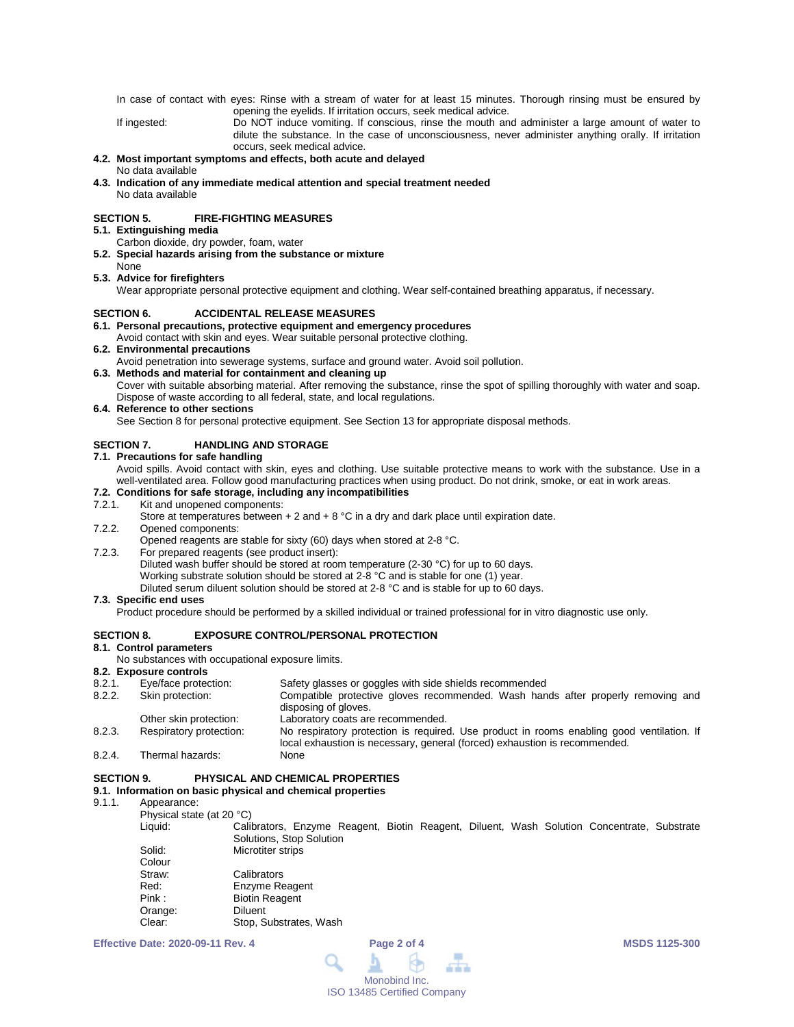In case of contact with eyes: Rinse with a stream of water for at least 15 minutes. Thorough rinsing must be ensured by opening the eyelids. If irritation occurs, seek medical advice.

If ingested: Do NOT induce vomiting. If conscious, rinse the mouth and administer a large amount of water to dilute the substance. In the case of unconsciousness, never administer anything orally. If irritation occurs, seek medical advice.

#### **4.2. Most important symptoms and effects, both acute and delayed** No data available

**4.3. Indication of any immediate medical attention and special treatment needed** No data available

# **SECTION 5. FIRE-FIGHTING MEASURES**

**5.1. Extinguishing media**

- Carbon dioxide, dry powder, foam, water
- **5.2. Special hazards arising from the substance or mixture** None
- **5.3. Advice for firefighters**

Wear appropriate personal protective equipment and clothing. Wear self-contained breathing apparatus, if necessary.

# **SECTION 6. ACCIDENTAL RELEASE MEASURES**

# **6.1. Personal precautions, protective equipment and emergency procedures**

Avoid contact with skin and eyes. Wear suitable personal protective clothing.

# **6.2. Environmental precautions**

Avoid penetration into sewerage systems, surface and ground water. Avoid soil pollution.

# **6.3. Methods and material for containment and cleaning up**

Cover with suitable absorbing material. After removing the substance, rinse the spot of spilling thoroughly with water and soap. Dispose of waste according to all federal, state, and local regulations.

## **6.4. Reference to other sections**

See Section 8 for personal protective equipment. See Section 13 for appropriate disposal methods.

# **SECTION 7. HANDLING AND STORAGE**

## **7.1. Precautions for safe handling**

Avoid spills. Avoid contact with skin, eyes and clothing. Use suitable protective means to work with the substance. Use in a well-ventilated area. Follow good manufacturing practices when using product. Do not drink, smoke, or eat in work areas.

# **7.2. Conditions for safe storage, including any incompatibilities**

Kit and unopened components:

Store at temperatures between  $+ 2$  and  $+ 8$  °C in a dry and dark place until expiration date.

7.2.2. Opened components:

Opened reagents are stable for sixty (60) days when stored at 2-8 °C.

7.2.3. For prepared reagents (see product insert): Diluted wash buffer should be stored at room temperature (2-30 °C) for up to 60 days. Working substrate solution should be stored at 2-8 °C and is stable for one (1) year. Diluted serum diluent solution should be stored at 2-8 °C and is stable for up to 60 days.

# **7.3. Specific end uses**

Product procedure should be performed by a skilled individual or trained professional for in vitro diagnostic use only.

# **SECTION 8. EXPOSURE CONTROL/PERSONAL PROTECTION**

# **8.1. Control parameters**

No substances with occupational exposure limits.

**8.2. Exposure controls** 8.2.1. Eye/face protection: Safety glasses or goggles with side shields recommended<br>8.2.2. Skin protection: Compatible protective gloves recommended. Wash han Compatible protective gloves recommended. Wash hands after properly removing and disposing of gloves. Other skin protection: Laboratory coats are recommended. 8.2.3. Respiratory protection: No respiratory protection is required. Use product in rooms enabling good ventilation. If local exhaustion is necessary, general (forced) exhaustion is recommended. 8.2.4. Thermal hazards:

# **SECTION 9. PHYSICAL AND CHEMICAL PROPERTIES**

# **9.1. Information on basic physical and chemical properties**

## 9.1.1. Appearance:

Physical state (at 20 °C)<br>Liquid: Cali

Calibrators, Enzyme Reagent, Biotin Reagent, Diluent, Wash Solution Concentrate, Substrate Solutions, Stop Solution

| Solid:  | Microtiter strips      |
|---------|------------------------|
| Colour  |                        |
| Straw:  | Calibrators            |
| Red:    | <b>Enzyme Reagent</b>  |
| Pink:   | <b>Biotin Reagent</b>  |
| Orange: | <b>Diluent</b>         |
| Clear:  | Stop, Substrates, Wash |
|         |                        |

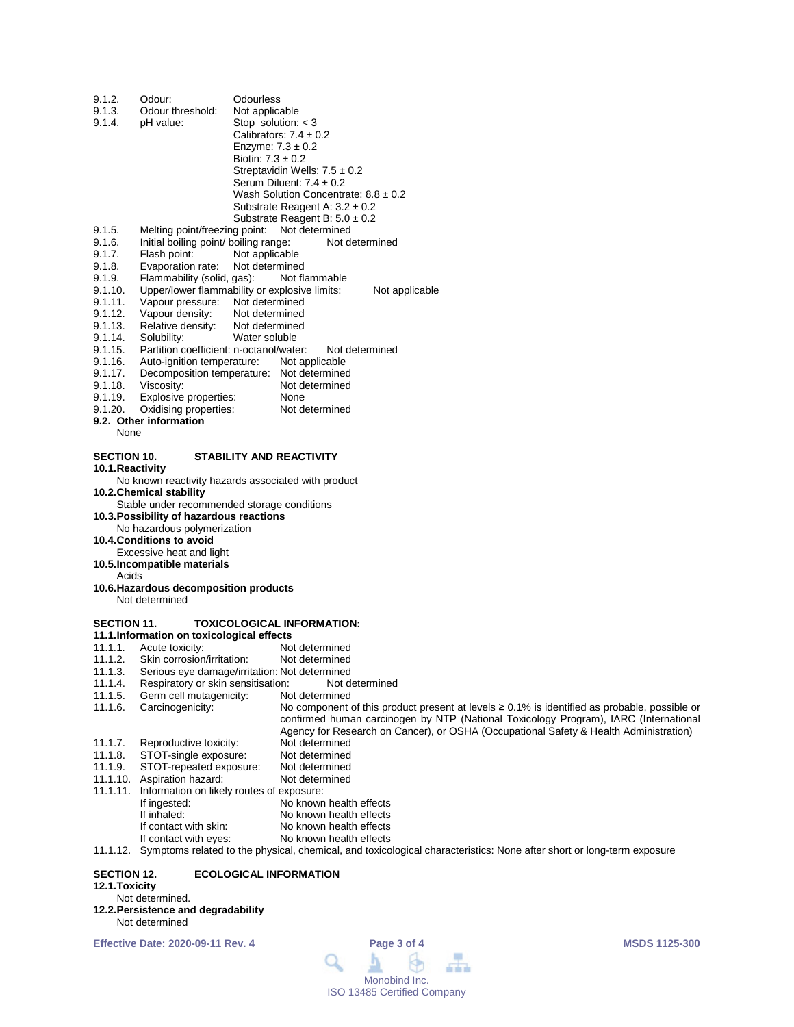| 9.1.2.             | Odour:                                                   | Odourless                                                                                          |  |  |  |
|--------------------|----------------------------------------------------------|----------------------------------------------------------------------------------------------------|--|--|--|
| 9.1.3.             | Odour threshold:                                         | Not applicable                                                                                     |  |  |  |
| 9.1.4.             | pH value:                                                | Stop solution: $<$ 3                                                                               |  |  |  |
|                    |                                                          | Calibrators: $7.4 \pm 0.2$                                                                         |  |  |  |
|                    |                                                          | Enzyme: $7.3 \pm 0.2$                                                                              |  |  |  |
|                    |                                                          | Biotin: $7.3 \pm 0.2$                                                                              |  |  |  |
|                    |                                                          | Streptavidin Wells: $7.5 \pm 0.2$                                                                  |  |  |  |
|                    |                                                          | Serum Diluent: $7.4 \pm 0.2$                                                                       |  |  |  |
|                    |                                                          | Wash Solution Concentrate: $8.8 \pm 0.2$                                                           |  |  |  |
|                    |                                                          | Substrate Reagent A: $3.2 \pm 0.2$                                                                 |  |  |  |
|                    |                                                          | Substrate Reagent B: $5.0 \pm 0.2$                                                                 |  |  |  |
| 9.1.5.             | Melting point/freezing point:                            | Not determined                                                                                     |  |  |  |
| 9.1.6.             |                                                          | Initial boiling point/ boiling range:<br>Not determined                                            |  |  |  |
| 9.1.7.             | Flash point:                                             | Not applicable                                                                                     |  |  |  |
| 9.1.8.             | Evaporation rate:                                        | Not determined                                                                                     |  |  |  |
| 9.1.9.             | Flammability (solid, gas):                               | Not flammable                                                                                      |  |  |  |
| 9.1.10.            |                                                          | Upper/lower flammability or explosive limits:<br>Not applicable                                    |  |  |  |
| 9.1.11.<br>9.1.12. | Vapour pressure:<br>Vapour density:                      | Not determined                                                                                     |  |  |  |
| 9.1.13.            | Relative density:                                        | Not determined<br>Not determined                                                                   |  |  |  |
| 9.1.14.            | Solubility:                                              | Water soluble                                                                                      |  |  |  |
| 9.1.15.            | Partition coefficient: n-octanol/water:                  | Not determined                                                                                     |  |  |  |
| 9.1.16.            | Auto-ignition temperature:                               | Not applicable                                                                                     |  |  |  |
| 9.1.17.            |                                                          | Decomposition temperature: Not determined                                                          |  |  |  |
| 9.1.18.            | Viscosity:                                               | Not determined                                                                                     |  |  |  |
| 9.1.19.            | Explosive properties:                                    | None                                                                                               |  |  |  |
| 9.1.20.            | Oxidising properties:                                    | Not determined                                                                                     |  |  |  |
|                    | 9.2. Other information                                   |                                                                                                    |  |  |  |
| None               |                                                          |                                                                                                    |  |  |  |
|                    |                                                          |                                                                                                    |  |  |  |
| <b>SECTION 10.</b> |                                                          | <b>STABILITY AND REACTIVITY</b>                                                                    |  |  |  |
| 10.1. Reactivity   |                                                          |                                                                                                    |  |  |  |
|                    |                                                          | No known reactivity hazards associated with product                                                |  |  |  |
|                    | 10.2. Chemical stability                                 |                                                                                                    |  |  |  |
|                    |                                                          | Stable under recommended storage conditions                                                        |  |  |  |
|                    | 10.3. Possibility of hazardous reactions                 |                                                                                                    |  |  |  |
|                    | No hazardous polymerization                              |                                                                                                    |  |  |  |
|                    | 10.4. Conditions to avoid                                |                                                                                                    |  |  |  |
|                    | Excessive heat and light                                 |                                                                                                    |  |  |  |
|                    | 10.5. Incompatible materials                             |                                                                                                    |  |  |  |
| Acids              |                                                          |                                                                                                    |  |  |  |
|                    | 10.6. Hazardous decomposition products<br>Not determined |                                                                                                    |  |  |  |
|                    |                                                          |                                                                                                    |  |  |  |
| <b>SECTION 11.</b> |                                                          | <b>TOXICOLOGICAL INFORMATION:</b>                                                                  |  |  |  |
|                    | 11.1. Information on toxicological effects               |                                                                                                    |  |  |  |
| 11.1.1.            | Acute toxicity:                                          | Not determined                                                                                     |  |  |  |
| 11.1.2.            | Skin corrosion/irritation:                               | Not determined                                                                                     |  |  |  |
| 11.1.3.            |                                                          | Serious eye damage/irritation: Not determined                                                      |  |  |  |
| 11.1.4.            | Respiratory or skin sensitisation:                       | Not determined                                                                                     |  |  |  |
| 11.1.5.            | Germ cell mutagenicity:                                  | Not determined                                                                                     |  |  |  |
| 11.1.6.            | Carcinogenicity:                                         | No component of this product present at levels $\geq 0.1\%$ is identified as probable, possible or |  |  |  |
|                    |                                                          | confirmed human carcinogen by NTP (National Toxicology Program), IARC (International               |  |  |  |
|                    |                                                          | Agency for Research on Cancer), or OSHA (Occupational Safety & Health Administration)              |  |  |  |
| 11.1.7.            | Reproductive toxicity:                                   | Not determined                                                                                     |  |  |  |
| 11.1.8.            | STOT-single exposure:                                    | Not determined                                                                                     |  |  |  |
| 11.1.9.            | STOT-repeated exposure:                                  | Not determined                                                                                     |  |  |  |
| 11.1.10.           | Aspiration hazard:                                       | Not determined                                                                                     |  |  |  |
| 11.1.11.           | Information on likely routes of exposure:                |                                                                                                    |  |  |  |
|                    | If ingested:                                             | No known health effects                                                                            |  |  |  |
|                    | If inhaled:                                              | No known health effects                                                                            |  |  |  |
|                    | If contact with skin:                                    | No known health effects                                                                            |  |  |  |
|                    | If contact with eyes:                                    | No known health effects                                                                            |  |  |  |

11.1.12. Symptoms related to the physical, chemical, and toxicological characteristics: None after short or long-term exposure

# **SECTION 12. ECOLOGICAL INFORMATION**

# **12.1.Toxicity**

Not determined.

#### **12.2.Persistence and degradability** Not determined

**Effective Date: 2020-09-11 Rev. 4 Page 3 of 4 MSDS 1125-300**

#### $\overline{\phantom{a}}$ Q t 血血血 Monobind Inc. ISO 13485 Certified Company